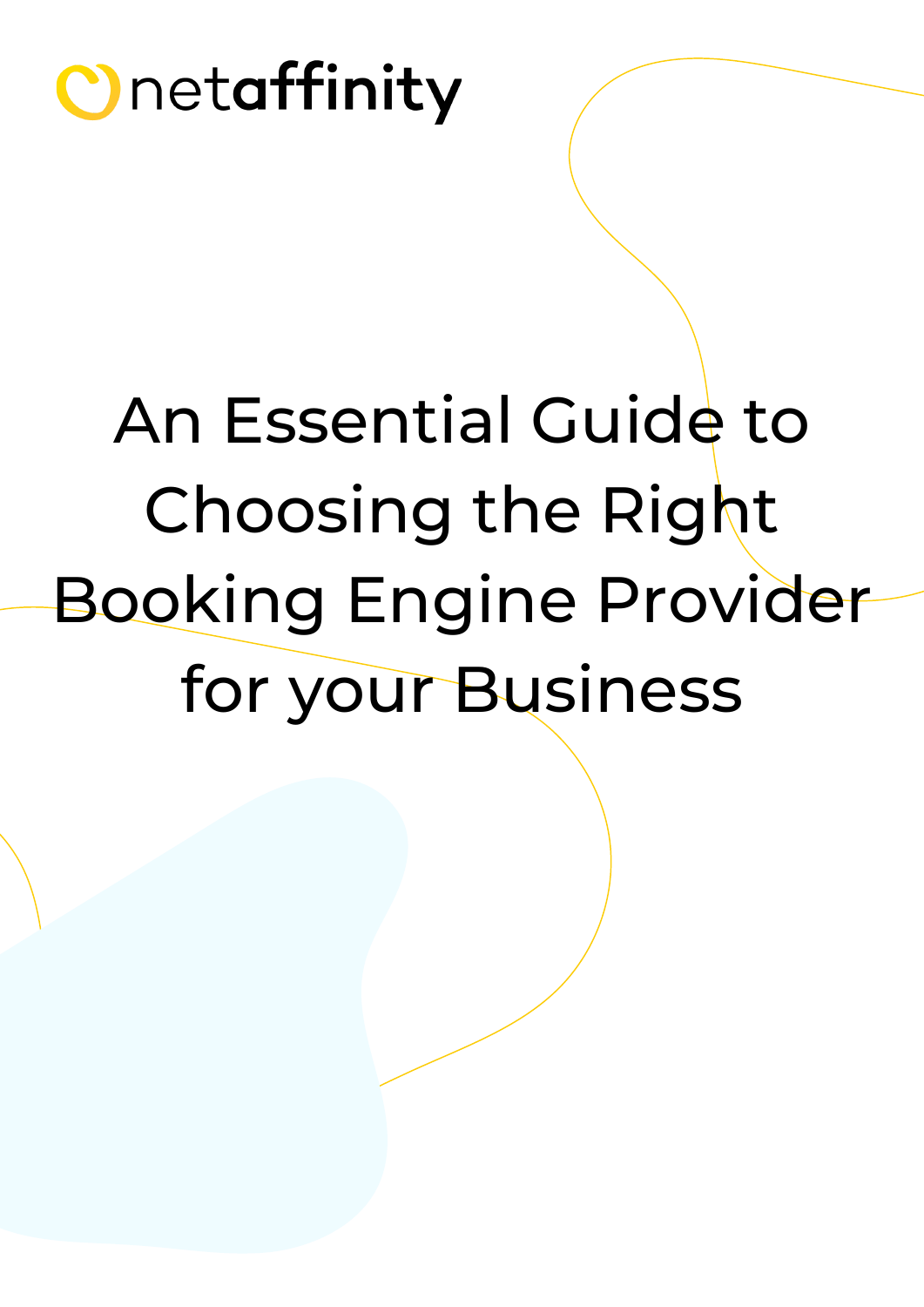# An Essential Guide to Choosing the Right Booking Engine Provider for your Business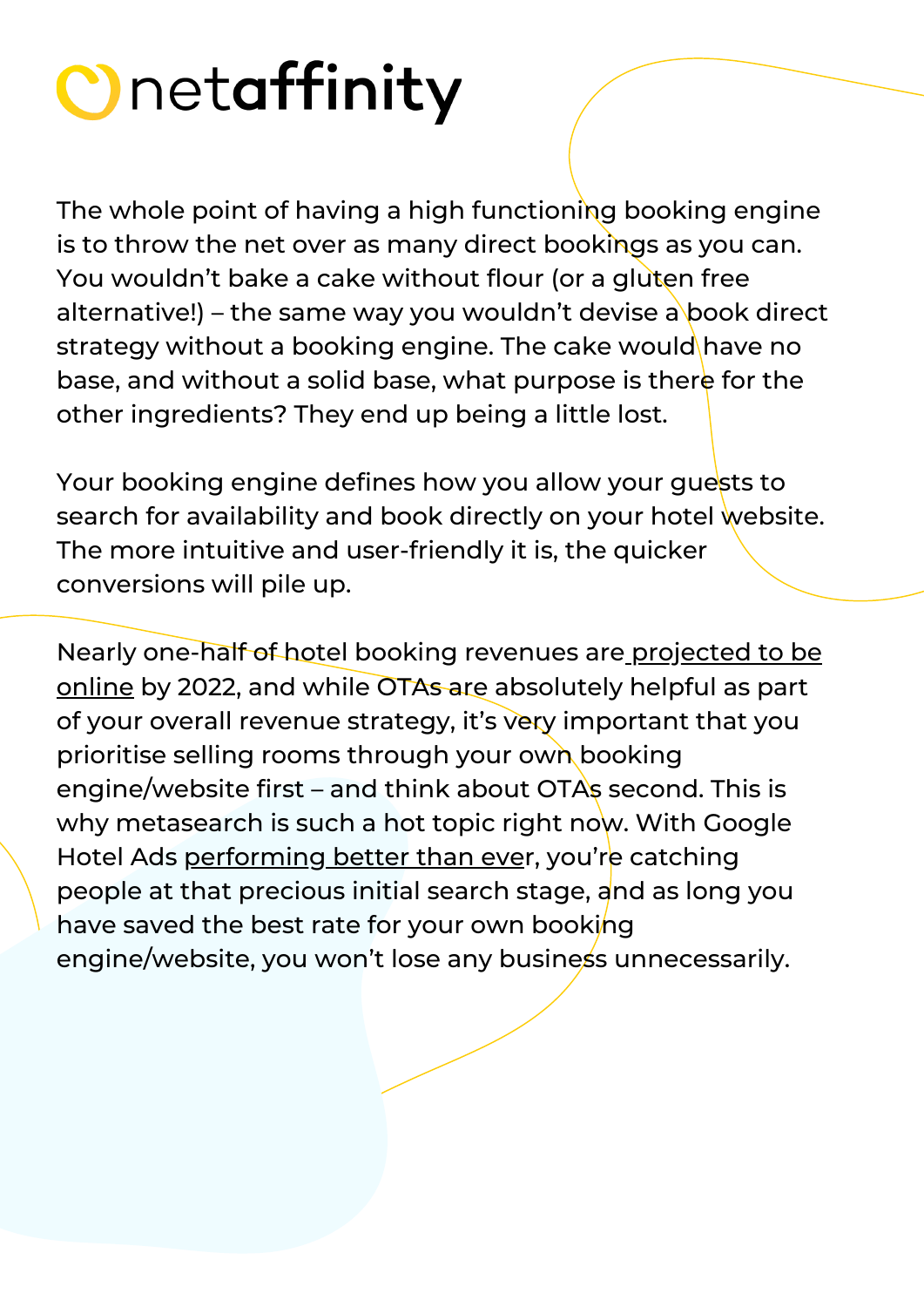The whole point of having a high functioning booking engine is to throw the net over as many direct bookings as you can. You wouldn't bake a cake without flour (or a gluten free alternative!) – the same way you wouldn't devise a book direct strategy without a booking engine. The cake would have no base, and without a solid base, what purpose is there for the other ingredients? They end up being a little lost.

Your booking engine defines how you allow your quests to search for availability and book directly on your hotel website. The more intuitive and user-friendly it is, the quicker conversions will pile up.

Nearly one-half of hotel booking revenues are projected to be online by [2022](https://www.businesswire.com/news/home/20181030005780/en/Global-Online-Accommodation-Booking-Market-2018-2022-One-Half), and while OTAs are [absolutely](https://www.businesswire.com/news/home/20181030005780/en/Global-Online-Accommodation-Booking-Market-2018-2022-One-Half) helpful as part of your overall revenue strategy, it's very important that you prioritise selling rooms through your own booking engine/website first – and think about OTAs second. This is why metasearch is such a hot topic right now. With Google Hotel Ads [performing](https://blog.netaffinity.com/google-hotel-ads-3-tips-to-help-increase-your-revenue/) better than ev[er,](https://blog.netaffinity.com/google-hotel-ads-3-tips-to-help-increase-your-revenue/) you're catching people at that precious initial search stage, and as long you have saved the best rate for your own booking engine/website, you won't lose any business unnecessarily.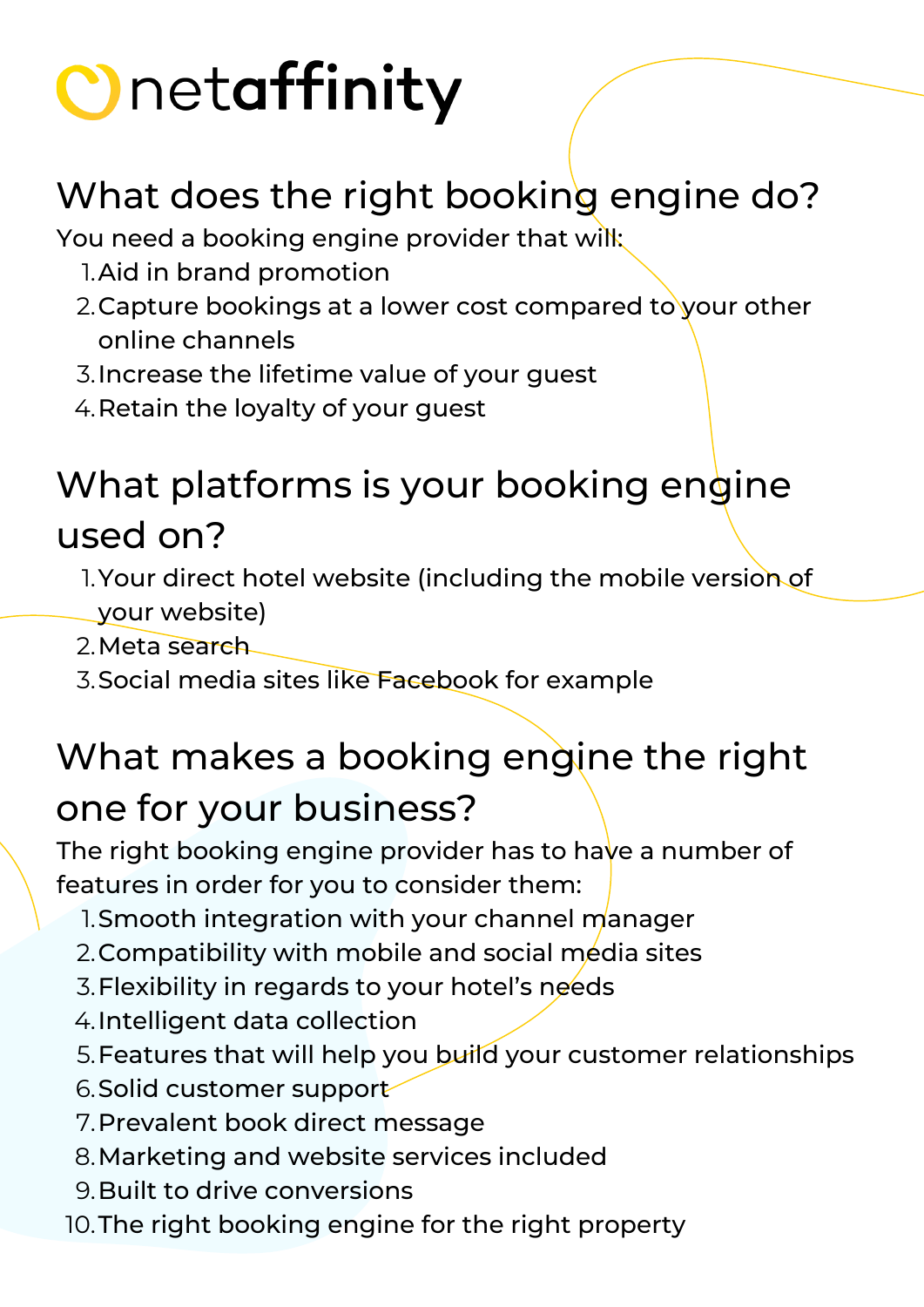#### What does the right booking engine do?

You need a booking engine provider that will:

- 1. Aid in brand promotion
- 2.Capture bookings at a lower cost compared to your other online channels
- Increase the lifetime value of your guest 3.
- 4. Retain the loyalty of your guest

#### What platforms is your booking engine used on?

1. Your direct hotel website (including the mobile version of your website)

2. Meta search

3. Social media sites like Facebook for example

#### What makes a booking engine the right one for your business?

The right booking engine provider has to have a number of features in order for you to consider them:

- 1. Smooth integration with your channel manager
- 2.Compatibility with mobile and social media sites
- 3. Flexibility in regards to your hotel's needs
- 4. Intelligent data collection
- 5. Features that will help you build your customer relationships
- 6. Solid customer support
- 7. Prevalent book direct message
- Marketing and website services included 8.
- Built to drive conversions 9.
- 10. The right booking engine for the right property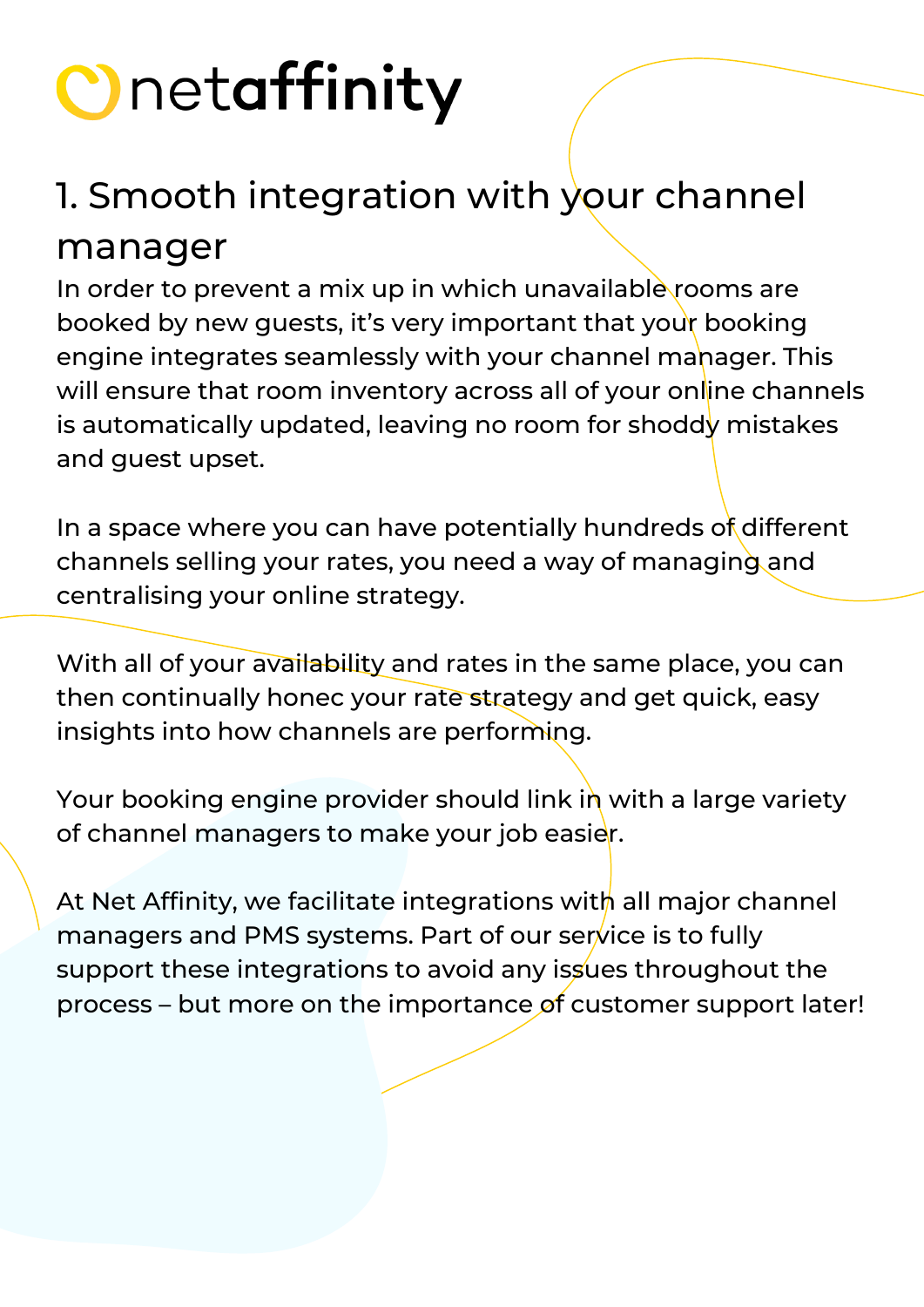#### 1. Smooth integration with your channel

#### manager

In order to prevent a mix up in which unavailable rooms are booked by new guests, it's very important that your booking engine integrates seamlessly with your channel manager. This will ensure that room inventory across all of your online channels is automatically updated, leaving no room for shoddy mistakes and guest upset.

In a space where you can have potentially hundreds of different channels selling your rates, you need a way of managing and centralising your online strategy.

With all of your availability and rates in the same place, you can then continually honec your rate strategy and get quick, easy insights into how channels are performing.

Your booking engine provider should link in with a large variety of channel managers to make your job easier.

At Net Affinity, we facilitate integrations with all major channel managers and PMS systems. Part of our service is to fully support these integrations to avoid any issues throughout the process – but more on the importance of customer support later!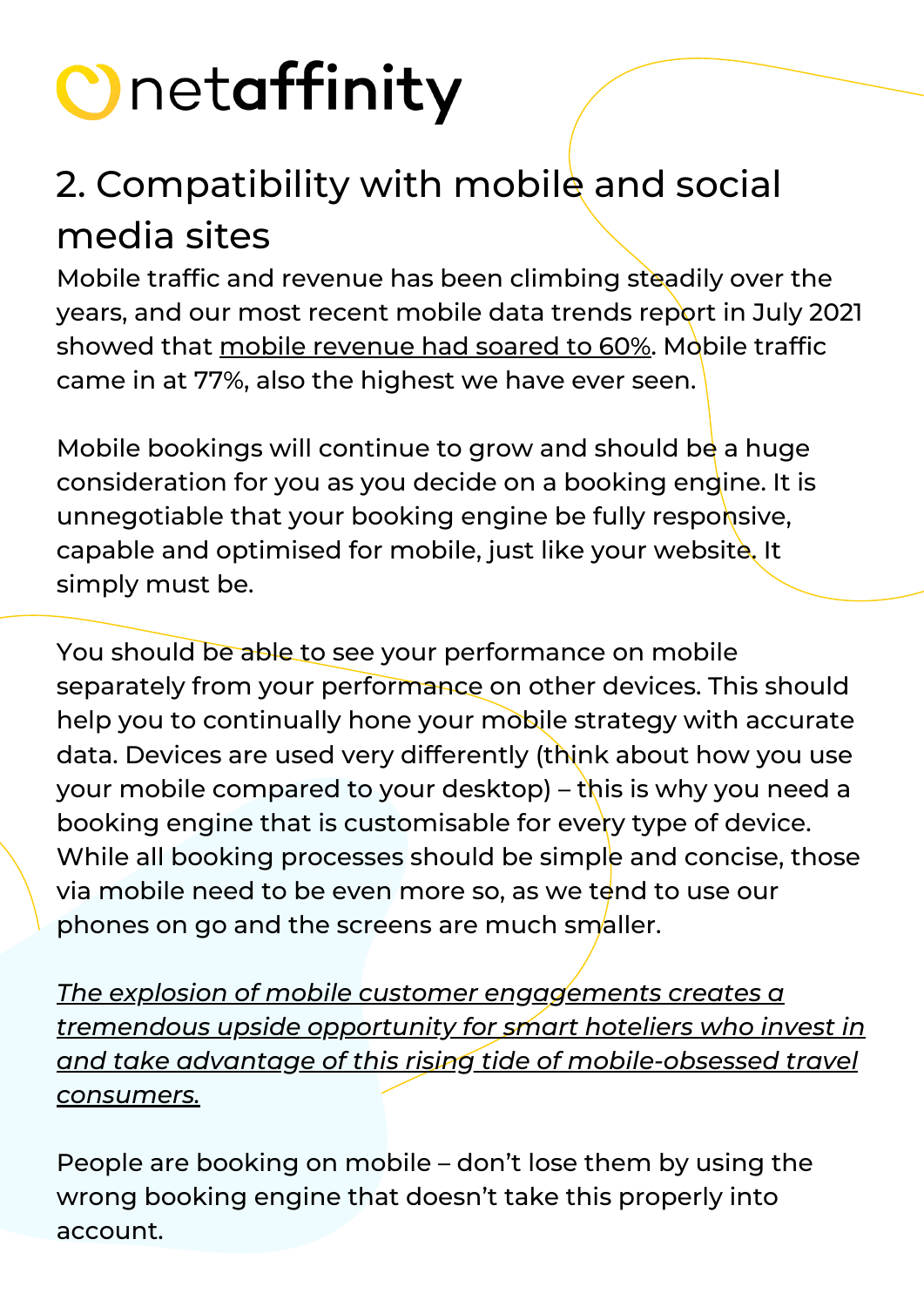#### 2. Compatibility with mobile and social media sites

Mobile traffic and revenue has been climbing steadily over the years, and our most recent mobile data trends report in July 2021 showed that mobile [revenue](https://blog.netaffinity.com/city-hotels-see-a-small-boost-and-mobile-revenue-soars-at-60/) had soared to 60%[.](https://blog.netaffinity.com/city-hotels-see-a-small-boost-and-mobile-revenue-soars-at-60/) Mobile traffic came in at 77%, also the highest we have ever seen.

Mobile bookings will continue to grow and should be a huge consideration for you as you decide on a booking engine. It is unnegotiable that your booking engine be fully responsive, capable and optimised for mobile, just like your website. It simply must be.

You should be able to see your performance on mobile separately from your performance on other devices. This should help you to continually hone your mobile strategy with accurate data. Devices are used very differently (think about how you use your mobile compared to your desktop) – this is why you need a booking engine that is customisable for every type of device. While all booking processes should be simple and concise, those via mobile need to be even more so, as we tend to use our phones on go and the screens are much smaller.

*The explosion of mobile customer engagements creates a tremendous upside opportunity for smart hoteliers who invest in and take advantage of this rising tide of [mobile-obsessed](https://www.phocuswire.com/mobile-revenue-potential-for-hotels) travel consumers.*

People are booking on mobile – don't lose them by using the wrong booking engine that doesn't take this properly into account.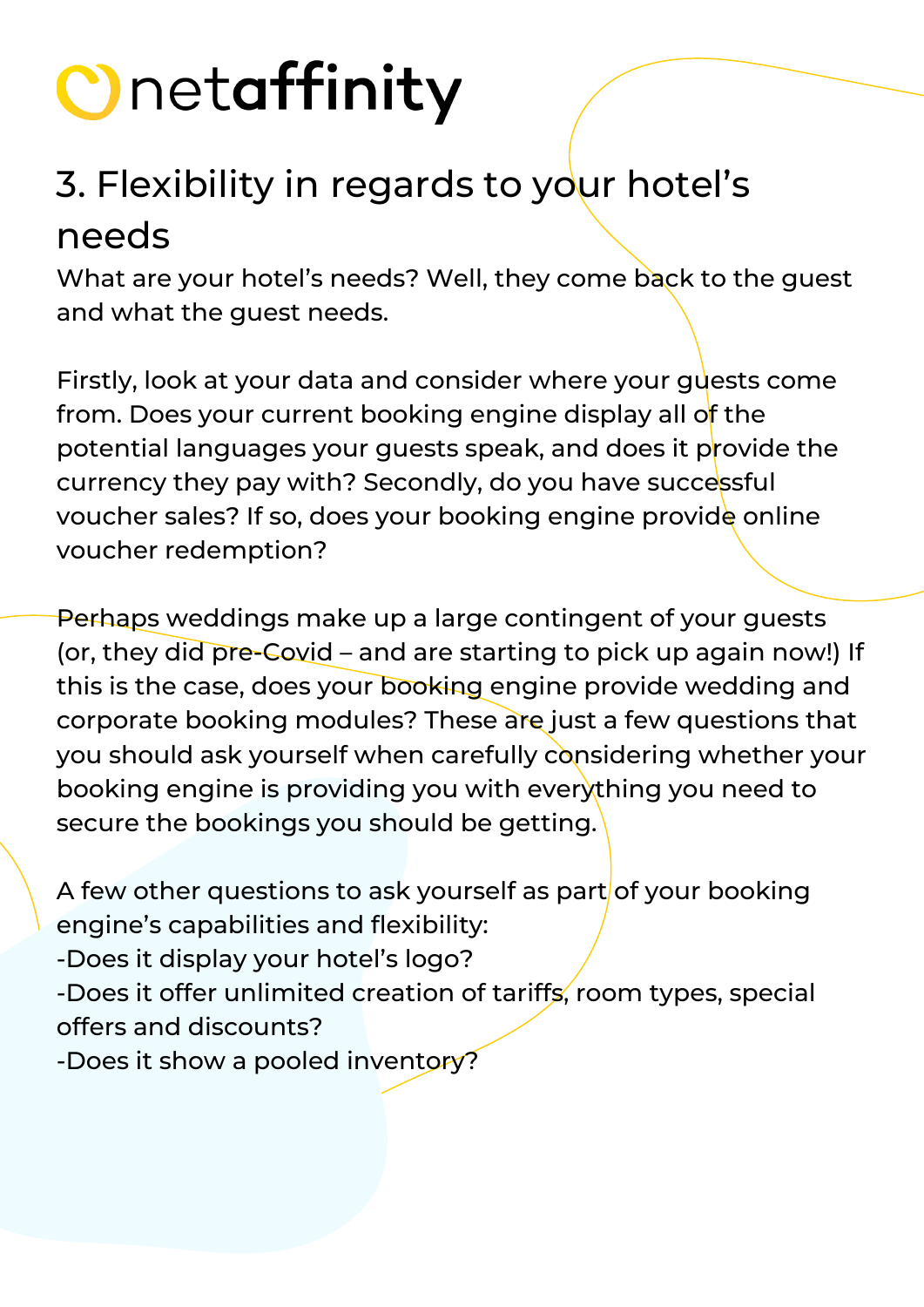#### 3. Flexibility in regards to your hotel's needs

What are your hotel's needs? Well, they come back to the guest and what the guest needs.

Firstly, look at your data and consider where your guests come from. Does your current booking engine display all of the potential languages your guests speak, and does it provide the currency they pay with? Secondly, do you have successful voucher sales? If so, does your booking engine provide online voucher redemption?

Perhaps weddings make up a large contingent of your guests (or, they did pre-Covid – and are starting to pick up again now!) If this is the case, does your booking engine provide wedding and corporate booking modules? These are just a few questions that you should ask yourself when carefully considering whether your booking engine is providing you with everything you need to secure the bookings you should be getting.

A few other questions to ask yourself as part of your booking engine's capabilities and flexibility:

-Does it display your hotel's logo?

-Does it offer unlimited creation of tariffs, room types, special offers and discounts?

-Does it show a pooled inventory?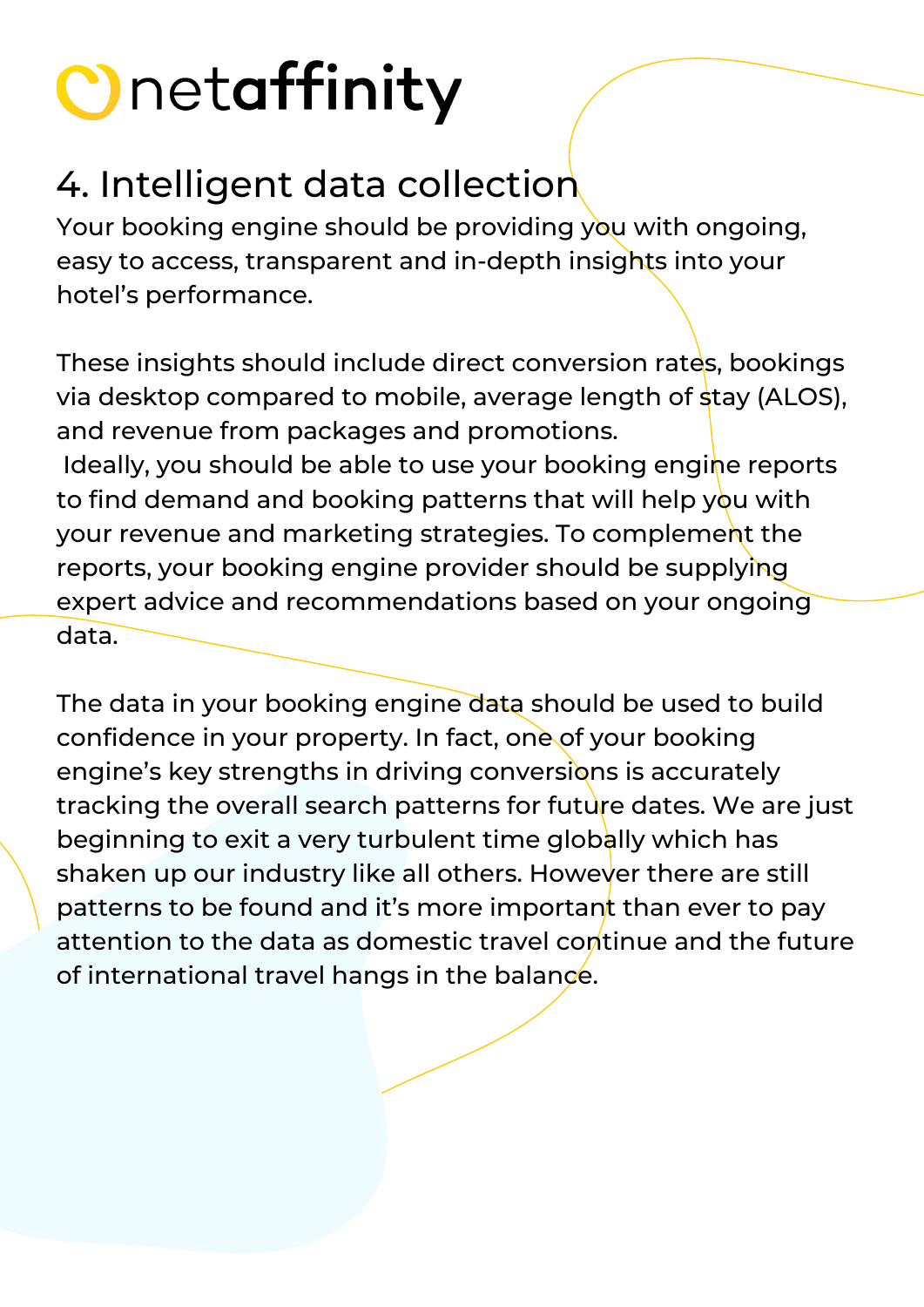#### 4. Intelligent data collection

Your booking engine should be providing you with ongoing, easy to access, transparent and in-depth insights into your hotel's performance.

These insights should include direct conversion rates, bookings via desktop compared to mobile, average length of stay (ALOS), and revenue from packages and promotions. Ideally, you should be able to use your booking engine reports to find demand and booking patterns that will help you with your revenue and marketing strategies. To complement the reports, your booking engine provider should be supplying expert advice and recommendations based on your ongoing data.

The data in your booking engine data should be used to build confidence in your property. In fact, one of your booking engine's key strengths in driving conversions is accurately tracking the overall search patterns for future dates. We are just beginning to exit a very turbulent time globally which has shaken up our industry like all others. However there are still patterns to be found and it's more important than ever to pay attention to the data as domestic travel continue and the future of international travel hangs in the balance.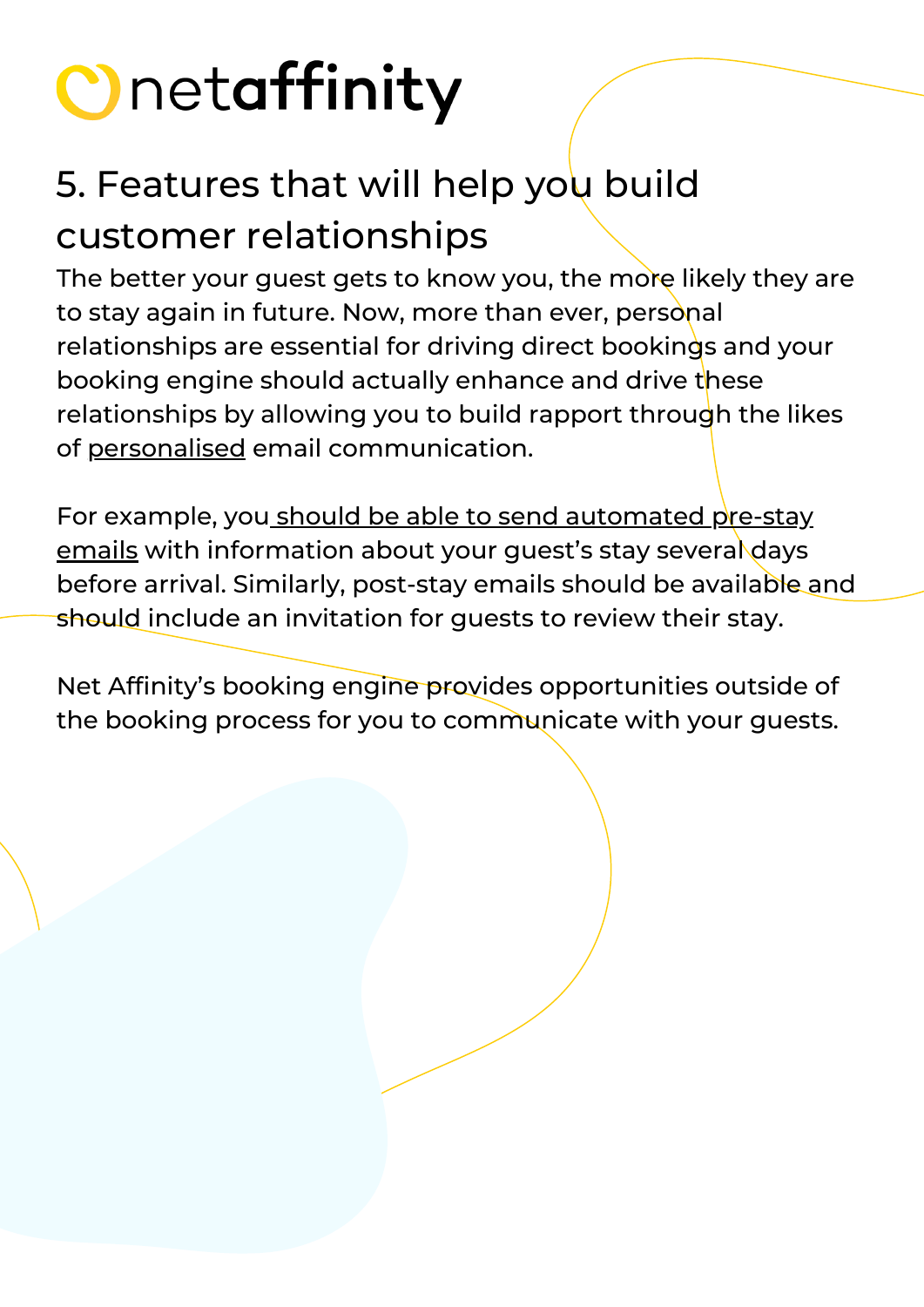#### 5. Features that will help you build customer relationships

The better your guest gets to know you, the more likely they are to stay again in future. Now, more than ever, personal relationships are essential for driving direct bookings and your booking engine should actually enhance and drive these relationships by allowing you to build rapport through the likes of [personalised](https://blog.netaffinity.com/how-personalisation-can-increase-your-revenue/) email communication.

For example, you should be able to send [automated](https://blog.netaffinity.com/email-marketing-tips-to-help-increase-your-hotels-direct-bookings/) pre-stay emails with information about your guest's stay several days before arrival. Similarly, post-stay emails should be available and should include an invitation for quests to review their stay.

Net Affinity's booking engine provides opportunities outside of the booking process for you to communicate with your guests.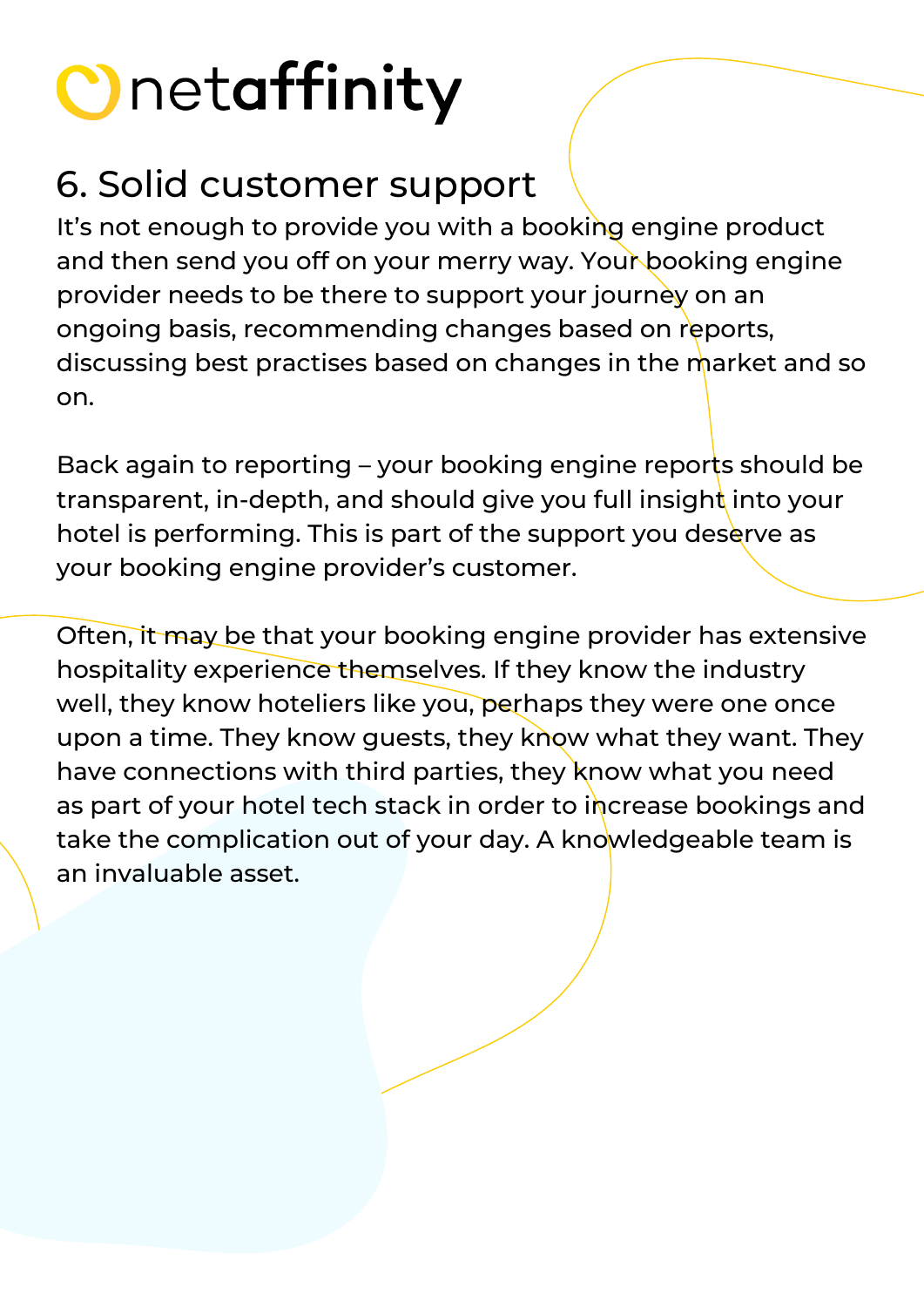#### 6. Solid customer support

It's not enough to provide you with a booking engine product and then send you off on your merry way. Your booking engine provider needs to be there to support your journey on an ongoing basis, recommending changes based on reports, discussing best practises based on changes in the market and so on.

Back again to reporting – your booking engine reports should be transparent, in-depth, and should give you full insight into your hotel is performing. This is part of the support you deserve as your booking engine provider's customer.

Often, it may be that your booking engine provider has extensive hospitality experience themselves. If they know the industry well, they know hoteliers like you, perhaps they were one once upon a time. They know guests, they know what they want. They have connections with third parties, they know what you need as part of your hotel tech stack in order to increase bookings and take the complication out of your day. A knowledgeable team is an invaluable asset.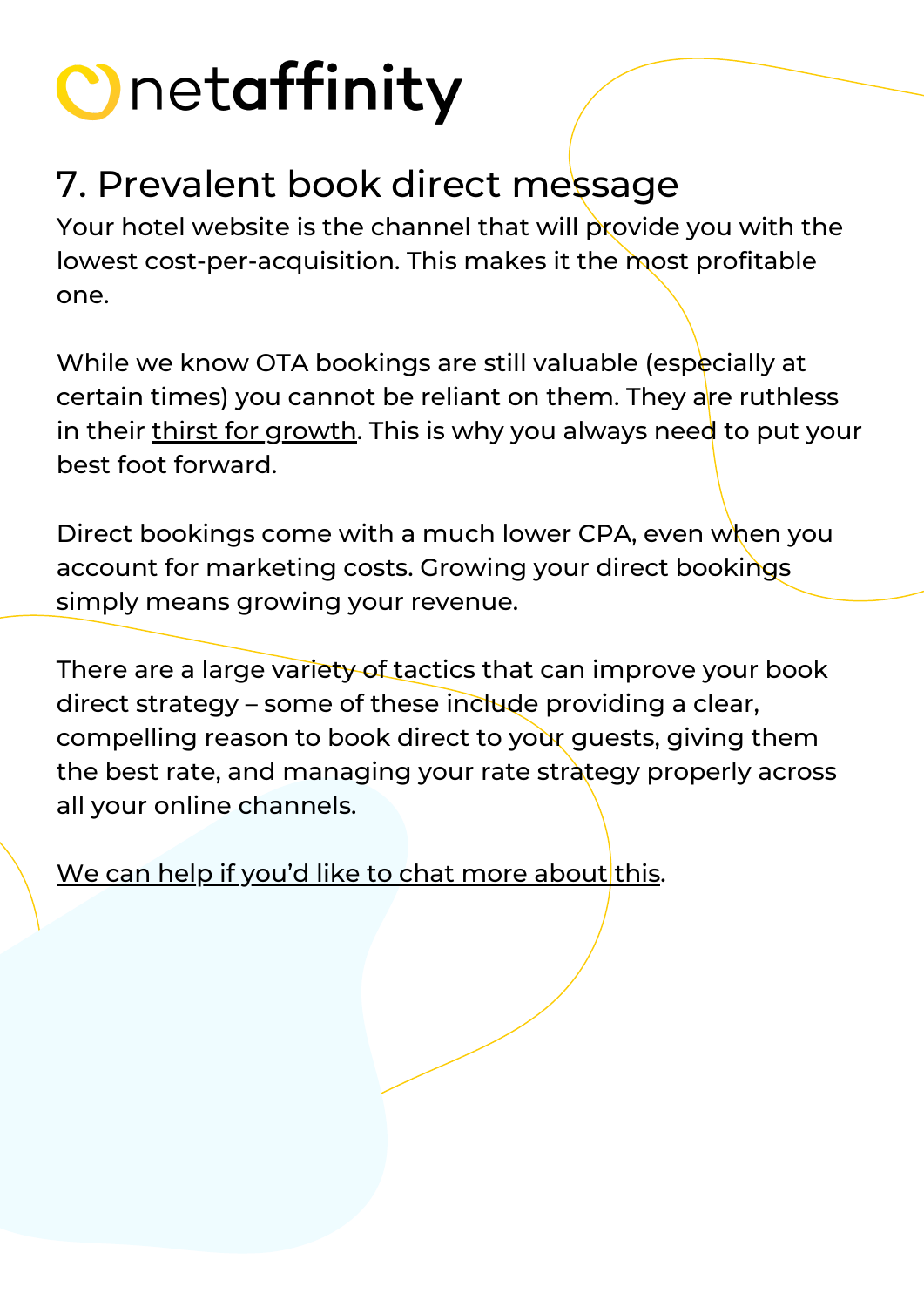#### 7. Prevalent book direct message

Your hotel website is the channel that will provide you with the lowest cost-per-acquisition. This makes it the most profitable one.

While we know OTA bookings are still valuable (especially at certain times) you cannot be reliant on them. They are ruthless in their thirst for [growth](https://www.d-edge.com/the-rise-of-direct-bookings-over-otas/). This is why you always need to put your best foot forward.

Direct bookings come with a much lower CPA, even when you account for marketing costs. Growing your direct bookings simply means growing your revenue.

There are a large variety of tactics that can improve your book direct strategy – some of these include providing a clear, compelling reason to book direct to your guests, giving them the best rate, and managing your rate strategy properly across all your online channels.

We can help if you'd like to chat more [about](https://www.netaffinity.com/book-a-demo.html) this.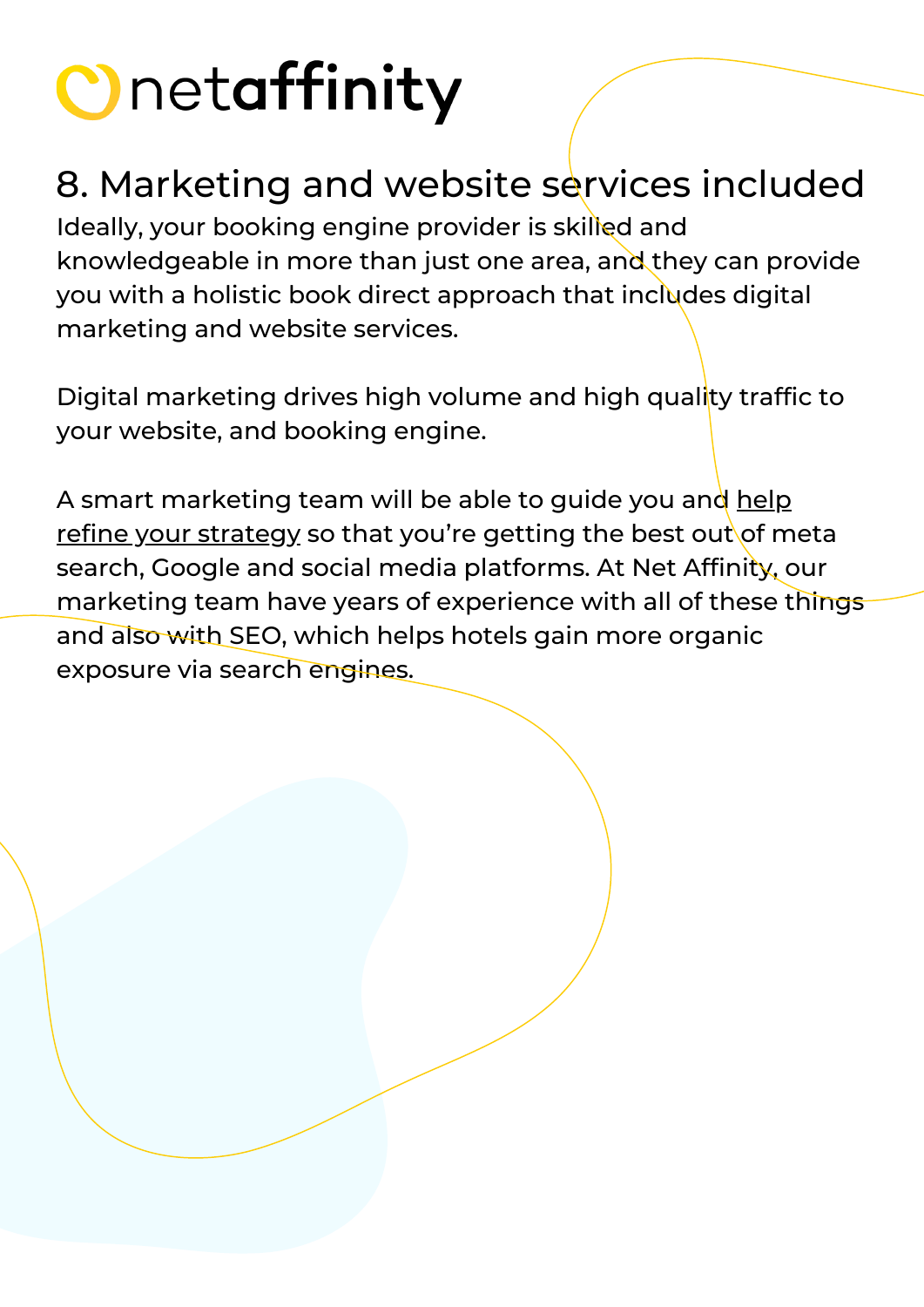#### 8. Marketing and website services included

Ideally, your booking engine provider is skilled and knowledgeable in more than just one area, and they can provide you with a holistic book direct approach that includes digital marketing and website services.

Digital marketing drives high volume and high quality traffic to your website, and booking engine.

A smart marketing team will be able to guide you and help refine your [strategy](https://blog.netaffinity.com/sitting-down-with-our-marketing-director-hollie-mchugh/) so that you're getting the best out of meta search, Google and social media [platforms.](https://blog.netaffinity.com/sitting-down-with-our-marketing-director-hollie-mchugh/) At Net Affinity, our marketing team have years of experience with all of these things and also with SEO, which helps hotels gain more organic exposure via search engines.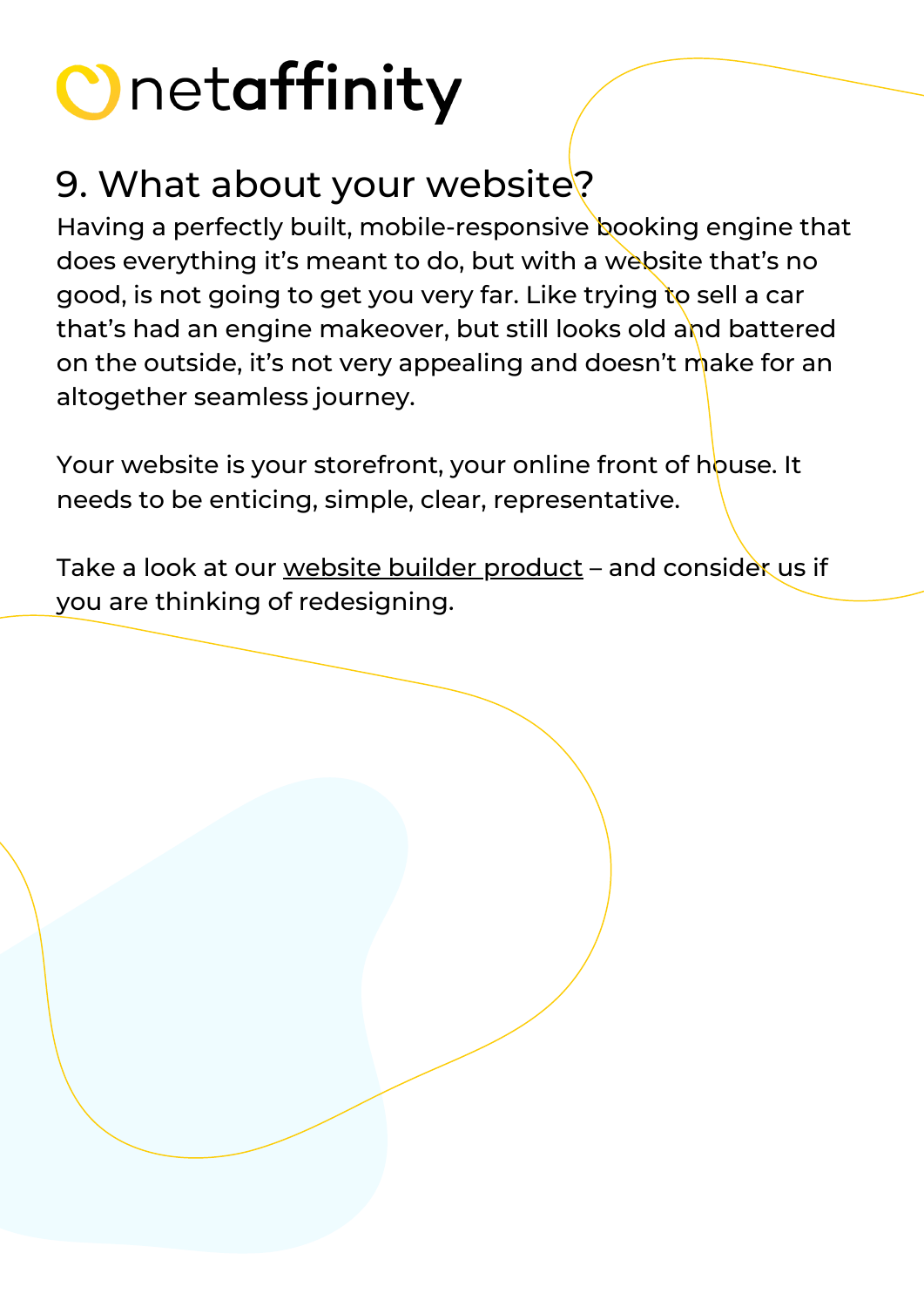#### 9. What about your website?

Having a perfectly built, mobile-responsive booking engine that does everything it's meant to do, but with a website that's no good, is not going to get you very far. Like trying to sell a car that's had an engine makeover, but still looks old and battered on the outside, it's not very appealing and doesn't make for an altogether seamless journey.

Your website is your storefront, your online front of house. It needs to be enticing, simple, clear, representative.

Take a look at our website builder [product](https://www.netaffinity.com/website-builder.html) – and consider us if you are thinking of redesigning.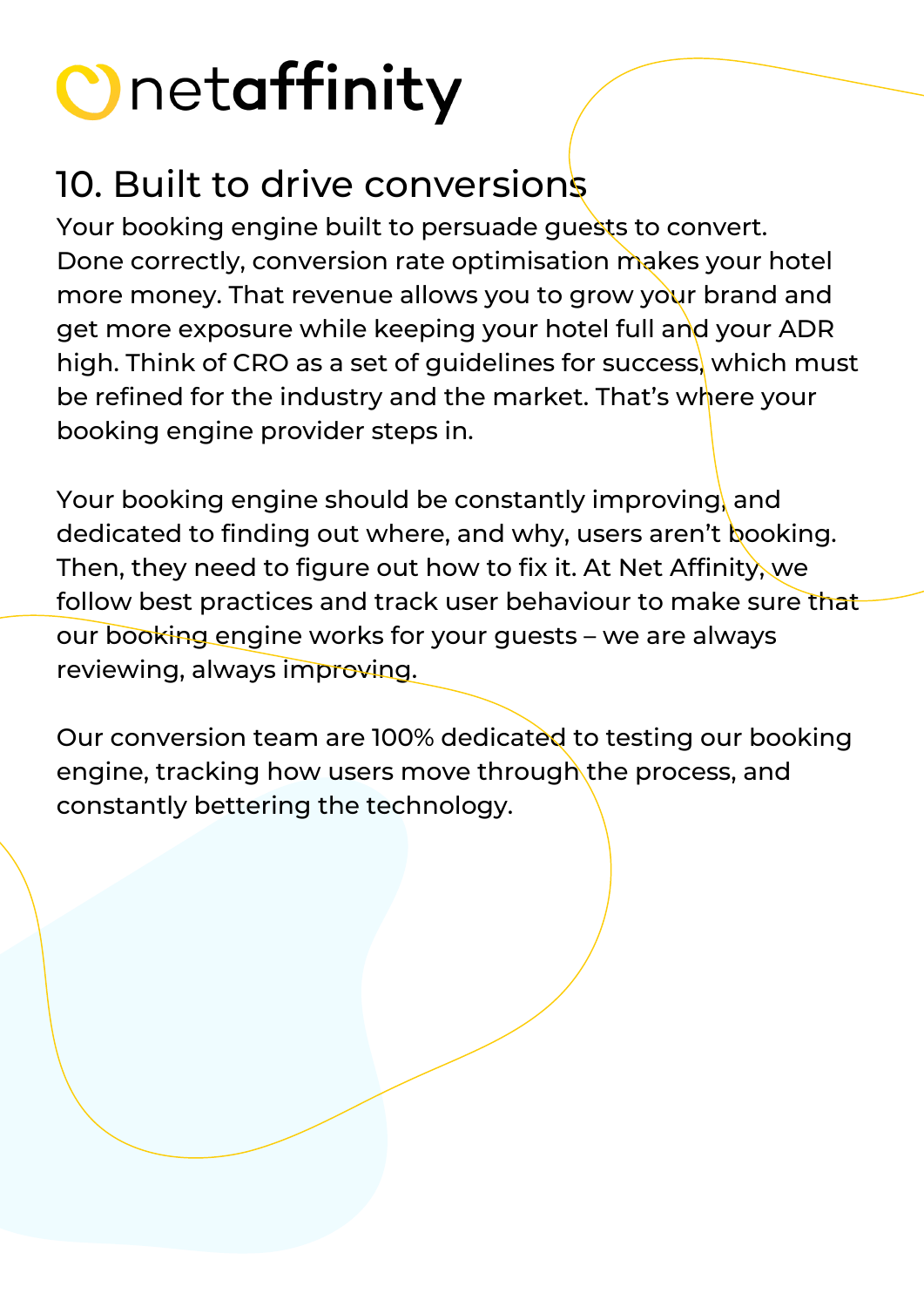#### 10. Built to drive conversions

Your booking engine built to persuade guests to convert. Done correctly, conversion rate optimisation makes your hotel more money. That revenue allows you to grow your brand and get more exposure while keeping your hotel full and your ADR high. Think of CRO as a set of guidelines for success, which must be refined for the industry and the market. That's where your booking engine provider steps in.

Your booking engine should be constantly improving, and dedicated to finding out where, and why, users aren't booking. Then, they need to figure out how to fix it. At Net Affinity, we follow best practices and track user behaviour to make sure that our booking engine works for your guests – we are always reviewing, always improving.

Our conversion team are 100% dedicated to testing our booking engine, tracking how users move through the process, and constantly bettering the technology.